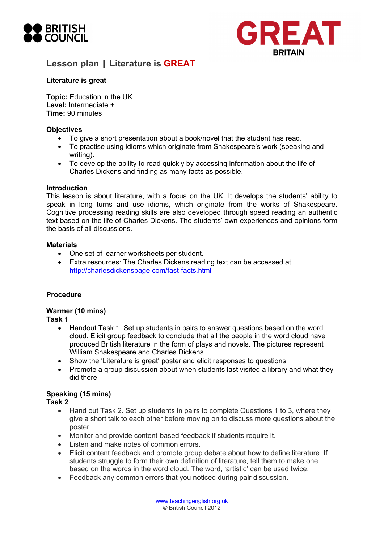



## **Literature is great**

**Topic:** Education in the UK **Level:** Intermediate + **Time:** 90 minutes

#### **Objectives**

- To give a short presentation about a book/novel that the student has read.
- To practise using idioms which originate from Shakespeare's work (speaking and writing).
- To develop the ability to read quickly by accessing information about the life of Charles Dickens and finding as many facts as possible.

#### **Introduction**

This lesson is about literature, with a focus on the UK. It develops the students' ability to speak in long turns and use idioms, which originate from the works of Shakespeare. Cognitive processing reading skills are also developed through speed reading an authentic text based on the life of Charles Dickens. The students' own experiences and opinions form the basis of all discussions.

#### **Materials**

- One set of learner worksheets per student.
- Extra resources: The Charles Dickens reading text can be accessed at: http://charlesdickenspage.com/fast-facts.html

#### **Procedure**

## **Warmer (10 mins)**

**Task 1** 

- Handout Task 1. Set up students in pairs to answer questions based on the word cloud. Elicit group feedback to conclude that all the people in the word cloud have produced British literature in the form of plays and novels. The pictures represent William Shakespeare and Charles Dickens.
- Show the 'Literature is great' poster and elicit responses to questions.
- Promote a group discussion about when students last visited a library and what they did there.

#### **Speaking (15 mins)**

**Task 2**

- Hand out Task 2. Set up students in pairs to complete Questions 1 to 3, where they give a short talk to each other before moving on to discuss more questions about the poster.
- Monitor and provide content-based feedback if students require it.
- Listen and make notes of common errors.
- Elicit content feedback and promote group debate about how to define literature. If students struggle to form their own definition of literature, tell them to make one based on the words in the word cloud. The word, 'artistic' can be used twice.
- Feedback any common errors that you noticed during pair discussion.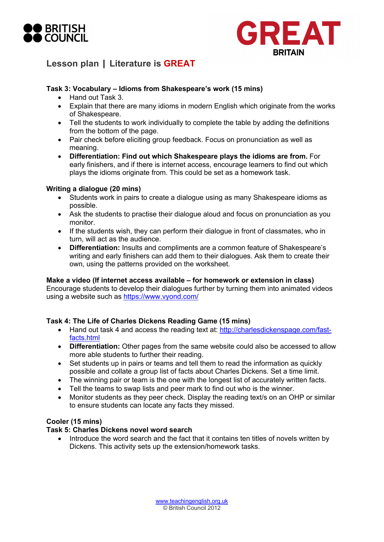



## **Task 3: Vocabulary – Idioms from Shakespeare's work (15 mins)**

- Hand out Task 3.
- Explain that there are many idioms in modern English which originate from the works of Shakespeare.
- Tell the students to work individually to complete the table by adding the definitions from the bottom of the page.
- Pair check before eliciting group feedback. Focus on pronunciation as well as meaning.
- **Differentiation: Find out which Shakespeare plays the idioms are from.** For early finishers, and if there is internet access, encourage learners to find out which plays the idioms originate from. This could be set as a homework task.

#### **Writing a dialogue (20 mins)**

- Students work in pairs to create a dialogue using as many Shakespeare idioms as possible.
- Ask the students to practise their dialogue aloud and focus on pronunciation as you monitor.
- If the students wish, they can perform their dialogue in front of classmates, who in turn, will act as the audience.
- **Differentiation:** Insults and compliments are a common feature of Shakespeare's writing and early finishers can add them to their dialogues. Ask them to create their own, using the patterns provided on the worksheet.

#### **Make a video (If internet access available – for homework or extension in class)**

Encourage students to develop their dialogues further by turning them into animated videos using a website such as https://www.vyond.com/

## **Task 4: The Life of Charles Dickens Reading Game (15 mins)**

- Hand out task 4 and access the reading text at: http://charlesdickenspage.com/fastfacts.html
- **Differentiation:** Other pages from the same website could also be accessed to allow more able students to further their reading.
- Set students up in pairs or teams and tell them to read the information as quickly possible and collate a group list of facts about Charles Dickens. Set a time limit.
- The winning pair or team is the one with the longest list of accurately written facts.
- Tell the teams to swap lists and peer mark to find out who is the winner.
- Monitor students as they peer check. Display the reading text/s on an OHP or similar to ensure students can locate any facts they missed.

#### **Cooler (15 mins)**

#### **Task 5: Charles Dickens novel word search**

• Introduce the word search and the fact that it contains ten titles of novels written by Dickens. This activity sets up the extension/homework tasks.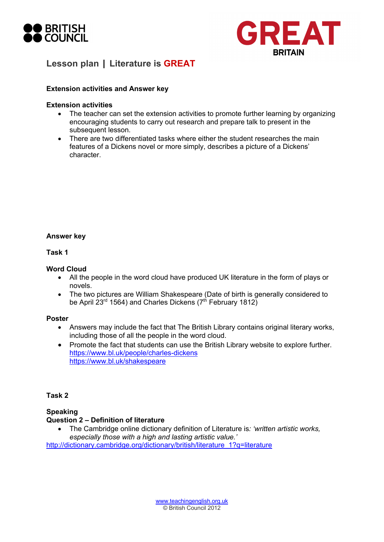



#### **Extension activities and Answer key**

#### **Extension activities**

- The teacher can set the extension activities to promote further learning by organizing encouraging students to carry out research and prepare talk to present in the subsequent lesson.
- There are two differentiated tasks where either the student researches the main features of a Dickens novel or more simply, describes a picture of a Dickens' character.

#### **Answer key**

**Task 1** 

#### **Word Cloud**

- All the people in the word cloud have produced UK literature in the form of plays or novels.
- The two pictures are William Shakespeare (Date of birth is generally considered to be April 23<sup>rd</sup> 1564) and Charles Dickens ( $7<sup>th</sup>$  February 1812)

#### **Poster**

- Answers may include the fact that The British Library contains original literary works, including those of all the people in the word cloud.
- Promote the fact that students can use the British Library website to explore further. https://www.bl.uk/people/charles-dickens https://www.bl.uk/shakespeare

#### **Task 2**

#### **Speaking Question 2 – Definition of literature**

• The Cambridge online dictionary definition of Literature is*: 'written artistic works, especially those with a high and lasting artistic value.'* 

http://dictionary.cambridge.org/dictionary/british/literature\_1?q=literature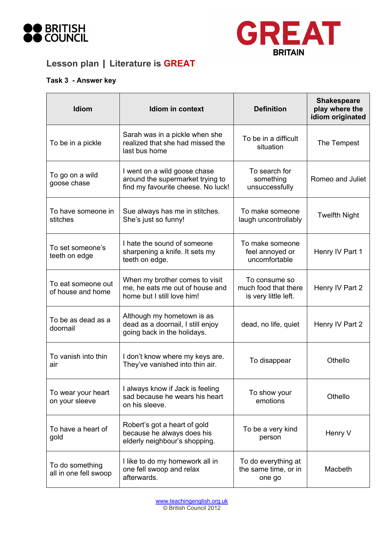



# **Task 3 - Answer key**

| <b>Idiom</b>                             | Idiom in context                                                                                       | <b>Definition</b>                                             | <b>Shakespeare</b><br>play where the<br>idiom originated |
|------------------------------------------|--------------------------------------------------------------------------------------------------------|---------------------------------------------------------------|----------------------------------------------------------|
| To be in a pickle                        | Sarah was in a pickle when she<br>realized that she had missed the<br>last bus home                    | To be in a difficult<br>situation                             | The Tempest                                              |
| To go on a wild<br>goose chase           | I went on a wild goose chase<br>around the supermarket trying to<br>find my favourite cheese. No luck! | To search for<br>something<br>unsuccessfully                  | Romeo and Juliet                                         |
| To have someone in<br>stitches           | Sue always has me in stitches.<br>She's just so funny!                                                 | To make someone<br>laugh uncontrollably                       | <b>Twelfth Night</b>                                     |
| To set someone's<br>teeth on edge        | I hate the sound of someone<br>sharpening a knife. It sets my<br>teeth on edge.                        | To make someone<br>feel annoyed or<br>uncomfortable           | Henry IV Part 1                                          |
| To eat someone out<br>of house and home  | When my brother comes to visit<br>me, he eats me out of house and<br>home but I still love him!        | To consume so<br>much food that there<br>is very little left. | Henry IV Part 2                                          |
| To be as dead as a<br>doornail           | Although my hometown is as<br>dead as a doornail, I still enjoy<br>going back in the holidays.         | dead, no life, quiet                                          | Henry IV Part 2                                          |
| To vanish into thin<br>air               | I don't know where my keys are.<br>They've vanished into thin air.                                     | To disappear                                                  | Othello                                                  |
| To wear your heart<br>on your sleeve     | I always know if Jack is feeling<br>sad because he wears his heart<br>on his sleeve.                   | To show your<br>emotions                                      | Othello                                                  |
| To have a heart of<br>gold               | Robert's got a heart of gold<br>because he always does his<br>elderly neighbour's shopping.            | To be a very kind<br>person                                   | Henry V                                                  |
| To do something<br>all in one fell swoop | I like to do my homework all in<br>one fell swoop and relax<br>afterwards.                             | To do everything at<br>the same time, or in<br>one go         | Macbeth                                                  |